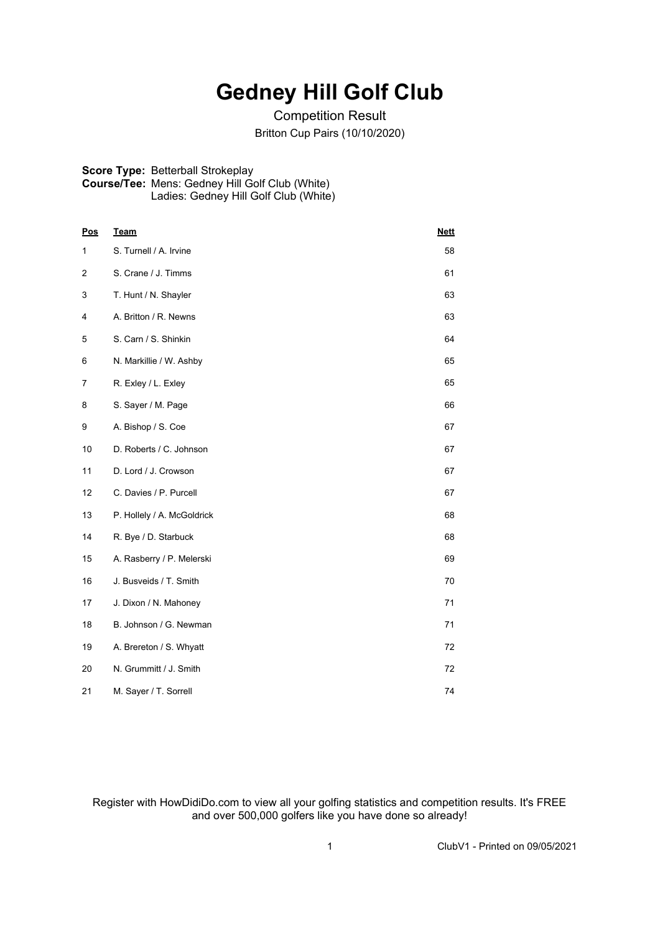## **Gedney Hill Golf Club**

Competition Result Britton Cup Pairs (10/10/2020)

## **Score Type:** Betterball Strokeplay **Course/Tee:** Mens: Gedney Hill Golf Club (White) Ladies: Gedney Hill Golf Club (White)

| <b>Pos</b> | <b>Team</b>                | <b>Nett</b> |
|------------|----------------------------|-------------|
| 1          | S. Turnell / A. Irvine     | 58          |
| 2          | S. Crane / J. Timms        | 61          |
| 3          | T. Hunt / N. Shayler       | 63          |
| 4          | A. Britton / R. Newns      | 63          |
| 5          | S. Carn / S. Shinkin       | 64          |
| 6          | N. Markillie / W. Ashby    | 65          |
| 7          | R. Exley / L. Exley        | 65          |
| 8          | S. Sayer / M. Page         | 66          |
| 9          | A. Bishop / S. Coe         | 67          |
| 10         | D. Roberts / C. Johnson    | 67          |
| 11         | D. Lord / J. Crowson       | 67          |
| 12         | C. Davies / P. Purcell     | 67          |
| 13         | P. Hollely / A. McGoldrick | 68          |
| 14         | R. Bye / D. Starbuck       | 68          |
| 15         | A. Rasberry / P. Melerski  | 69          |
| 16         | J. Busveids / T. Smith     | 70          |
| 17         | J. Dixon / N. Mahoney      | 71          |
| 18         | B. Johnson / G. Newman     | 71          |
| 19         | A. Brereton / S. Whyatt    | 72          |
| 20         | N. Grummitt / J. Smith     | 72          |
| 21         | M. Sayer / T. Sorrell      | 74          |

Register with HowDidiDo.com to view all your golfing statistics and competition results. It's FREE and over 500,000 golfers like you have done so already!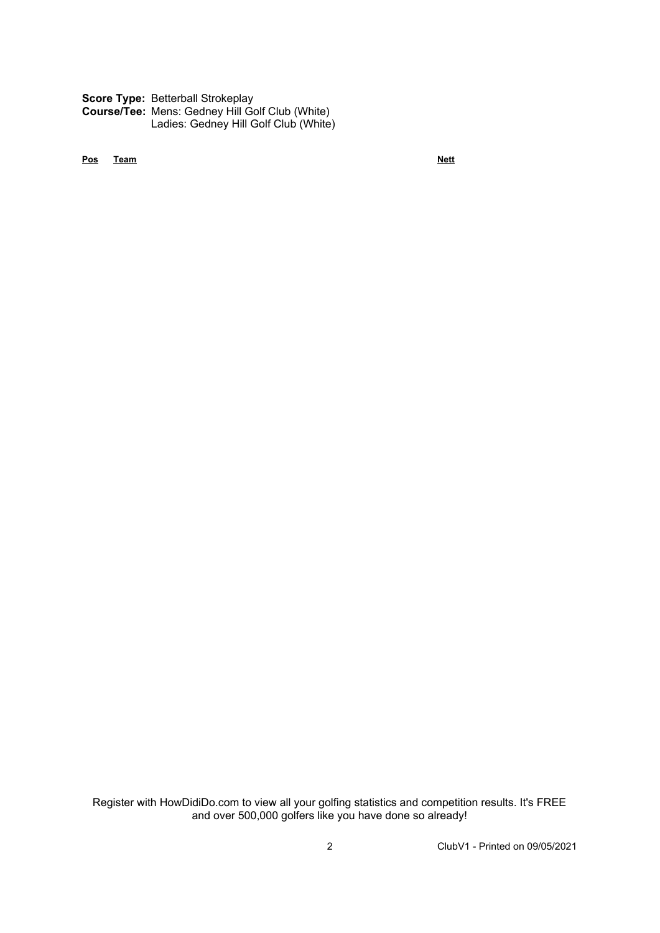**Score Type:** Betterball Strokeplay

**Course/Tee:** Mens: Gedney Hill Golf Club (White) Ladies: Gedney Hill Golf Club (White)

**Pos Team Nett**

Register with HowDidiDo.com to view all your golfing statistics and competition results. It's FREE and over 500,000 golfers like you have done so already!